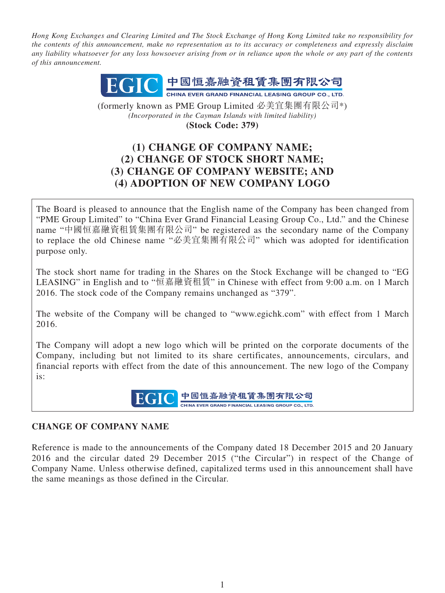*Hong Kong Exchanges and Clearing Limited and The Stock Exchange of Hong Kong Limited take no responsibility for the contents of this announcement, make no representation as to its accuracy or completeness and expressly disclaim any liability whatsoever for any loss howsoever arising from or in reliance upon the whole or any part of the contents of this announcement.*



(formerly known as PME Group Limited 必美宜集團有限公司\*) *(Incorporated in the Cayman Islands with limited liability)* **(Stock Code: 379)**

# **(1) CHANGE OF COMPANY NAME; (2) CHANGE OF STOCK SHORT NAME; (3) CHANGE OF COMPANY WEBSITE; AND (4) ADOPTION OF NEW COMPANY LOGO**

The Board is pleased to announce that the English name of the Company has been changed from "PME Group Limited" to "China Ever Grand Financial Leasing Group Co., Ltd." and the Chinese name "中國恒嘉融資租賃集團有限公司" be registered as the secondary name of the Company to replace the old Chinese name "必美宜集團有限公司" which was adopted for identification purpose only.

The stock short name for trading in the Shares on the Stock Exchange will be changed to "EG LEASING" in English and to "恒嘉融資租賃" in Chinese with effect from 9:00 a.m. on 1 March 2016. The stock code of the Company remains unchanged as "379".

The website of the Company will be changed to "www.egichk.com" with effect from 1 March 2016.

The Company will adopt a new logo which will be printed on the corporate documents of the Company, including but not limited to its share certificates, announcements, circulars, and financial reports with effect from the date of this announcement. The new logo of the Company is:

> 中國恒嘉融資租賃集團有限公司 EGIC CHINA EVER GRAND FINANCIAL LEASING GROUP CO., LTD.

# **CHANGE OF COMPANY NAME**

Reference is made to the announcements of the Company dated 18 December 2015 and 20 January 2016 and the circular dated 29 December 2015 ("the Circular") in respect of the Change of Company Name. Unless otherwise defined, capitalized terms used in this announcement shall have the same meanings as those defined in the Circular.